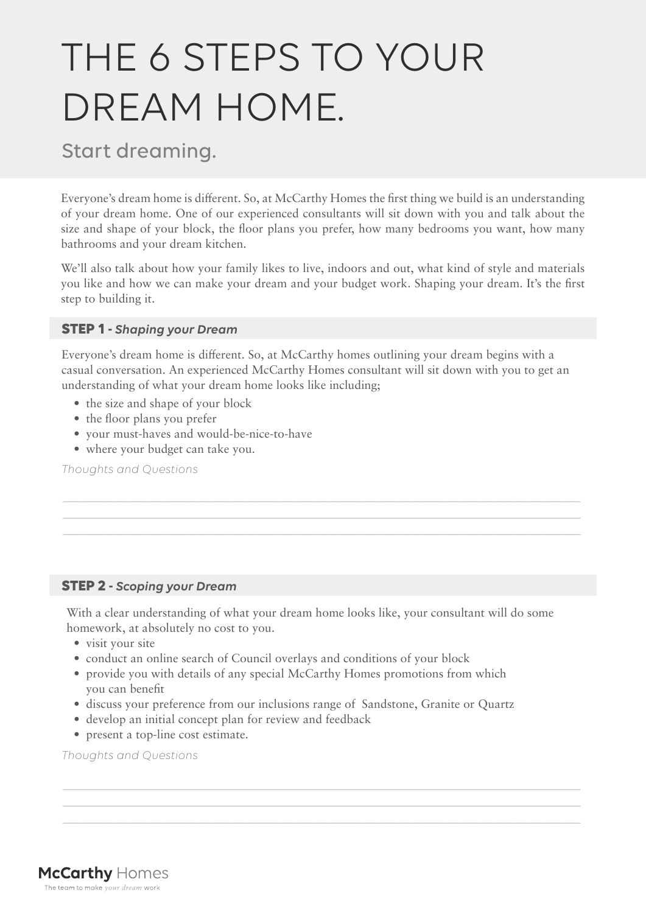# THE 6 STEPS TO YOUR DREAM HOME.

# Start dreaming.

Everyone's dream home is different. So, at McCarthy Homes the first thing we build is an understanding of your dream home. One of our experienced consultants will sit down with you and talk about the size and shape of your block, the floor plans you prefer, how many bedrooms you want, how many bathrooms and your dream kitchen.

We'll also talk about how your family likes to live, indoors and out, what kind of style and materials you like and how we can make your dream and your budget work. Shaping your dream. It's the first step to building it.

## **STEP 1 -** *Shaping your Dream*

Everyone's dream home is different. So, at McCarthy homes outlining your dream begins with a casual conversation. An experienced McCarthy Homes consultant will sit down with you to get an understanding of what your dream home looks like including;

\_\_\_\_\_\_\_\_\_\_\_\_\_\_\_\_\_\_\_\_\_\_\_\_\_\_\_\_\_\_\_\_\_\_\_\_\_\_\_\_\_\_\_\_\_\_\_\_\_\_\_\_\_\_\_\_\_\_\_\_\_\_\_\_\_\_\_\_\_\_\_\_\_\_\_ \_\_\_\_\_\_\_\_\_\_\_\_\_\_\_\_\_\_\_\_\_\_\_\_\_\_\_\_\_\_\_\_\_\_\_\_\_\_\_\_\_\_\_\_\_\_\_\_\_\_\_\_\_\_\_\_\_\_\_\_\_\_\_\_\_\_\_\_\_\_\_\_\_\_\_ \_\_\_\_\_\_\_\_\_\_\_\_\_\_\_\_\_\_\_\_\_\_\_\_\_\_\_\_\_\_\_\_\_\_\_\_\_\_\_\_\_\_\_\_\_\_\_\_\_\_\_\_\_\_\_\_\_\_\_\_\_\_\_\_\_\_\_\_\_\_\_\_\_\_\_

- the size and shape of your block
- the floor plans you prefer
- your must-haves and would-be-nice-to-have
- where your budget can take you.

*Thoughts and Questions*

## **STEP 2 -** *Scoping your Dream*

With a clear understanding of what your dream home looks like, your consultant will do some homework, at absolutely no cost to you.

- visit your site
- conduct an online search of Council overlays and conditions of your block
- provide you with details of any special McCarthy Homes promotions from which you can benefit
- discuss your preference from our inclusions range of Sandstone, Granite or Quartz

\_\_\_\_\_\_\_\_\_\_\_\_\_\_\_\_\_\_\_\_\_\_\_\_\_\_\_\_\_\_\_\_\_\_\_\_\_\_\_\_\_\_\_\_\_\_\_\_\_\_\_\_\_\_\_\_\_\_\_\_\_\_\_\_\_\_\_\_\_\_\_\_\_\_\_

\_\_\_\_\_\_\_\_\_\_\_\_\_\_\_\_\_\_\_\_\_\_\_\_\_\_\_\_\_\_\_\_\_\_\_\_\_\_\_\_\_\_\_\_\_\_\_\_\_\_\_\_\_\_\_\_\_\_\_\_\_\_\_\_\_\_\_\_\_\_\_\_\_\_\_

- develop an initial concept plan for review and feedback
- present a top-line cost estimate.

*Thoughts and Questions*